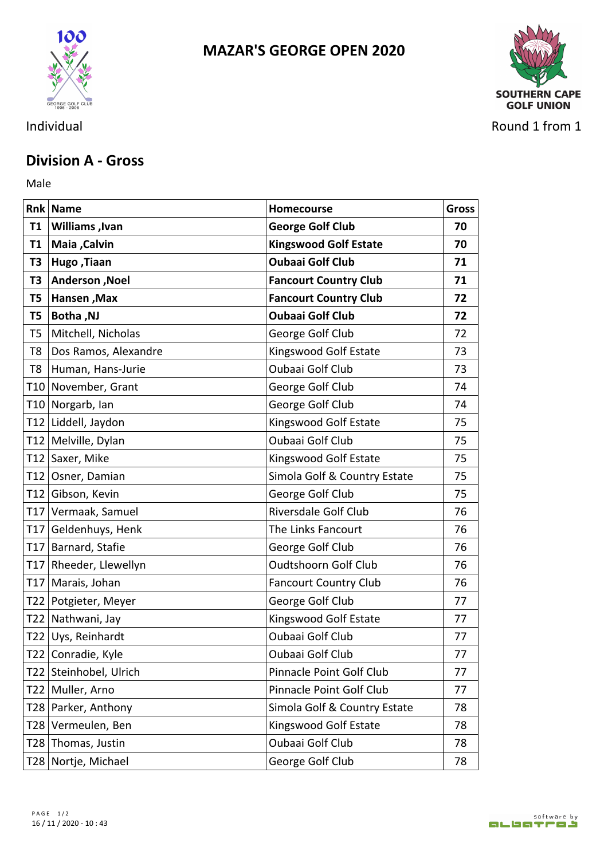

## **MAZAR'S GEORGE OPEN 2020**



Individual Round 1 from 1

## **Division A - Gross**

Male **Male** 

|           | <b>Rnk Name</b>        | <b>Homecourse</b>            | <b>Gross</b> |
|-----------|------------------------|------------------------------|--------------|
| <b>T1</b> | <b>Williams</b> , Ivan | <b>George Golf Club</b>      | 70           |
|           | T1   Maia , Calvin     | <b>Kingswood Golf Estate</b> | 70           |
| T3        | Hugo, Tiaan            | <b>Oubaai Golf Club</b>      | 71           |
| T3        | Anderson , Noel        | <b>Fancourt Country Club</b> | 71           |
| T5        | <b>Hansen, Max</b>     | <b>Fancourt Country Club</b> | 72           |
| T5        | <b>Botha, NJ</b>       | <b>Oubaai Golf Club</b>      | 72           |
| T5        | Mitchell, Nicholas     | George Golf Club             | 72           |
| T8        | Dos Ramos, Alexandre   | Kingswood Golf Estate        | 73           |
| T8        | Human, Hans-Jurie      | Oubaai Golf Club             | 73           |
|           | T10 November, Grant    | George Golf Club             | 74           |
|           | T10 Norgarb, Ian       | George Golf Club             | 74           |
|           | T12 Liddell, Jaydon    | Kingswood Golf Estate        | 75           |
|           | T12 Melville, Dylan    | Oubaai Golf Club             | 75           |
|           | T12 Saxer, Mike        | Kingswood Golf Estate        | 75           |
|           | T12 Osner, Damian      | Simola Golf & Country Estate | 75           |
|           | T12 Gibson, Kevin      | George Golf Club             | 75           |
|           | T17 Vermaak, Samuel    | Riversdale Golf Club         | 76           |
|           | T17 Geldenhuys, Henk   | The Links Fancourt           | 76           |
|           | T17 Barnard, Stafie    | George Golf Club             | 76           |
|           | T17 Rheeder, Llewellyn | <b>Oudtshoorn Golf Club</b>  | 76           |
|           | T17 Marais, Johan      | <b>Fancourt Country Club</b> | 76           |
|           | T22   Potgieter, Meyer | George Golf Club             | 77           |
|           | T22 Nathwani, Jay      | Kingswood Golf Estate        | 77           |
|           | T22 Uys, Reinhardt     | Oubaai Golf Club             | 77           |
|           | T22 Conradie, Kyle     | Oubaai Golf Club             | 77           |
|           | T22 Steinhobel, Ulrich | Pinnacle Point Golf Club     | 77           |
|           | T22 Muller, Arno       | Pinnacle Point Golf Club     | 77           |
|           | T28 Parker, Anthony    | Simola Golf & Country Estate | 78           |
|           | T28 Vermeulen, Ben     | Kingswood Golf Estate        | 78           |
|           | T28 Thomas, Justin     | Oubaai Golf Club             | 78           |
|           | T28 Nortje, Michael    | George Golf Club             | 78           |